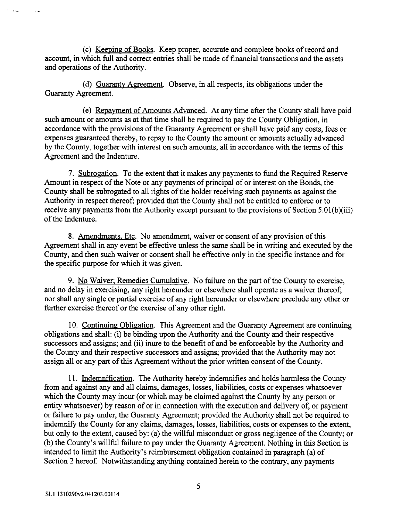(c) Keeping of Books. Keep proper, accurate and complete books of record and account, in which full and correct entries shall be made of financial transactions and the assets and operations of the Authority.

(d) Guaranty Agreement. Observe, in all respects, its obligations under the Guaranty Agreement.

(e) Repayment of Amounts Advanced. At any time after the County shall have paid such amount or amounts as at that time shall be required to pay the County Obligation, in accordance with the provisions of the Guaranty Agreement or shall have paid any costs, fees or expenses guaranteed thereby, to repay to the County the amount or amounts actually advanced by the County, together with interest on such amounts, all in accordance with the terms of this Agreement and the Indenture.

**7.** Subrogation. To the extent that it makes any payments to fund the Required Reserve Amount in respect of the Note or any payments of principal of or interest on the Bonds, the County shall be subrogated to all rights of the holder receiving such payments as against the Authority in respect thereof; provided that the County shall not be entitled to enforce or to receive any payments from the Authority except pursuant to the provisions of Section 5.01(b)(iii) of the Indenture.

8. Amendments, Etc. No amendment, waiver or consent of any provision of this Agreement shall in any event be effective unless the same shall be in writing and executed by the County, and then such waiver or consent shall be effective only in the specific instance and for the specific purpose for which it was given.

9. No Waiver: Remedies Cumulative. No failure on the part of the County to exercise, and no delay in exercising, any right hereunder or elsewhere shall operate as a waiver thereof; nor shall any single or partial exercise of any right hereunder or elsewhere preclude any other or further exercise thereof or the exercise of any other right.

10. Continuing Obligation. This Agreement and the Guaranty Agreement are continuing obligations and shall: (i) be binding upon the Authority and the County and their respective successors and assigns; and (ii) inure to the benefit of and be enforceable by the Authority and the County and their respective successors and assigns; provided that the Authority may not assign all or any part of this Agreement without the prior written consent of the County.

11. Indemnification. The Authority hereby indemnifies and holds harmless the County from and against any and all claims, damages, losses, liabilities, costs or expenses whatsoever which the County may incur (or which may be claimed against the County by any person or entity whatsoever) by reason of or in connection with the execution and delivery of, or payment or failure to pay under, the Guaranty Agreement; provided the Authority shall not be required to indemnify the County for any claims, damages, losses, liabilities, costs or expenses to the extent, but only to the extent, caused by: (a) the willful misconduct or gross negligence of the County; or (b) the County's willful failure to pay under the Guaranty Agreement. Nothing in this Section is intended to limit the Authority's reimbursement obligation contained in paragraph (a) of Section 2 hereof. Notwithstanding anything contained herein to the contrary, any payments

 $\epsilon_{\rm{max}}$ 

 $\sim$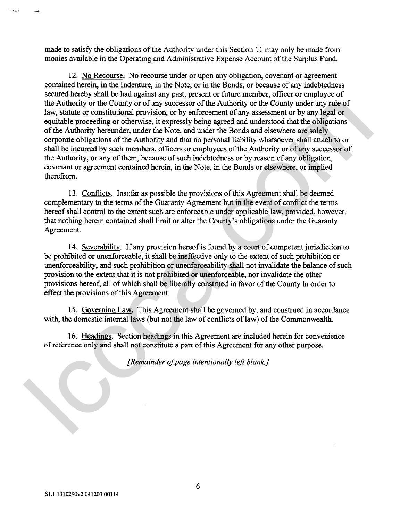made to satisfy the obligations of the Authority under this Section 11 may only be made from monies available in the Operating and Administrative Expense Account of the Surplus Fund.

12. No Recourse. No recourse under or upon any obligation, covenant or agreement contained herein, in the Indenture, in the Note, or in the Bonds, or because of any indebtedness secured hereby shall be had against any past, present or future member, officer or employee of the Authority or the County or of any successor of the Authority or the County under any rule of law, statute or constitutional provision, or by enforcement of any assessment or by any legal or equitable proceeding or otherwise, it expressly being agreed and understood that the obligations of the Authority hereunder, under the Note, and under the Bonds and elsewhere are solely corporate obligations of the Authority and that no personal liability whatsoever shall attach to or shall be incurred by such members, officers or employees of the Authority or of any successor of the Authority, or any of them, because of such indebtedness or by reason of any obligation, covenant or agreement contained herein, in the Note, in the Bonds or elsewhere, or implied therefrom. the Authority or the County of of any sizes<br>can of the Authority or the County of any sizes and a law, statute or constitutional provision, or by enforcement of any sasses<br>ment or by any legal or equivale procedure pro ob

13. Conflicts. Insofar as possible the provisions of this Agreement shall be deemed complementary to the terms of the Guaranty Agreement but in the event of conflict the terms hereof shall control to the extent such are enforceable under applicable law, provided, however, that nothing herein contained shall limit or alter the County's obligations under the Guaranty Agreement.

14. Severability. If any provision hereof is found by a court of competent jurisdiction to be prohibited or unenforceable, it shall be ineffective only to the extent of such prohibition or unenforceability, and such prohibition or unenforceability shall not invalidate the balance of such provision to the extent that it is not prohibited or unenforceable, nor invalidate the other provisions hereof, all of which shall be liberally construed in favor of the County in order to effect the provisions of this Agreement.

15. Governing Law. This Agreement shall be governed by, and construed in accordance with, the domestic internal laws (but not the law of conflicts of law) of the Commonwealth.

16. Headings. Section headings in this Agreement are included herein for convenience of reference only and shall not constitute a **part** of this Agreement for any other purpose.

*[Remainder ofpage intentionally left blank.]*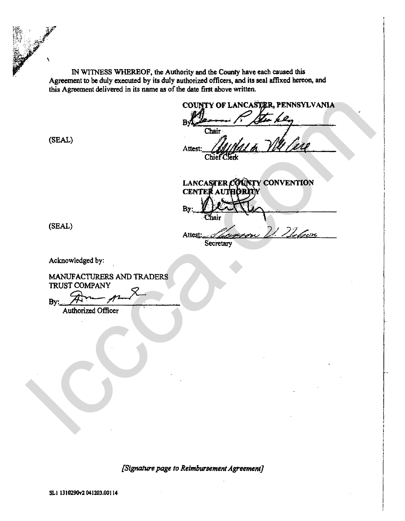**IN WITNESS WHEREOF, the Authority and the County have each caused this Agreement to be duly executed by its duly authorized officers, and its seal affixed henon, and this Agreement delivered in its name as of the date first above written.** 

 $\mathbb{R}^{\mathbb{Z}}$ 

Attest: *Attest:*<br>Chief Clerk

**LANCASTER COUNTY CONVENTION CENT** COUNTY OF LANCASTER, PENNSYLVANIA<br>
(SEAL)<br>
Alternative Contract CONTY CONVENTION<br>
CEAL)<br>
EXAMPACTURERS AND TRADERS<br>
ARKIFACTURERS AND TRADERS<br>
TRUST COMPANY<br>
TRANSPACTURERS AND TRADERS<br>
TRUST COMPANY<br>
TRANSPACTURERS AND TR

**Acknowledged by:** 

**MANUFACTURERS AND TRADERS TRUST COMPANY** 

**Authorized** Officer

**[Signature page to Reimbursement Agreement]**